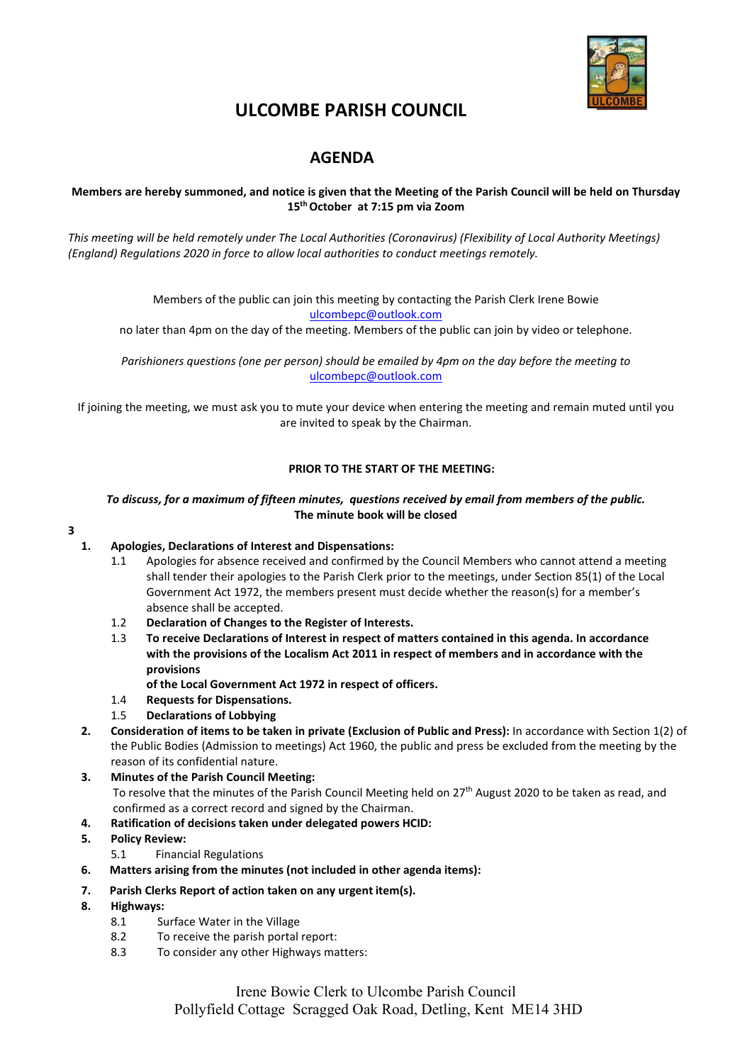

# **ULCOMBE PARISH COUNCIL**

# **AGENDA**

# **Members are hereby summoned, and notice is given that the Meeting of the Parish Council will be held on Thursday 15th October at 7:15 pm via Zoom**

*This meeting will be held remotely under The Local Authorities (Coronavirus) (Flexibility of Local Authority Meetings) (England) Regulations 2020 in force to allow local authorities to conduct meetings remotely.*

> Members of the public can join this meeting by contacting the Parish Clerk Irene Bowie [ulcombepc@outlook.com](mailto:ulcombepc@outlook.com)

no later than 4pm on the day of the meeting. Members of the public can join by video or telephone.

*Parishioners questions (one per person) should be emailed by 4pm on the day before the meeting to* [ulcombepc@outlook.com](mailto:ulcombepc@outlook.com)

If joining the meeting, we must ask you to mute your device when entering the meeting and remain muted until you are invited to speak by the Chairman.

# **PRIOR TO THE START OF THE MEETING:**

#### *To discuss, for a maximum of fifteen minutes, questions received by email from members of the public.* **The minute book will be closed**

#### **3**

# **1. Apologies, Declarations of Interest and Dispensations:**

- 1.1 Apologies for absence received and confirmed by the Council Members who cannot attend a meeting shall tender their apologies to the Parish Clerk prior to the meetings, under Section 85(1) of the Local Government Act 1972, the members present must decide whether the reason(s) for a member's absence shall be accepted.
- 1.2 **Declaration of Changes to the Register of Interests.**
- 1.3 **To receive Declarations of Interest in respect of matters contained in this agenda. In accordance with the provisions of the Localism Act 2011 in respect of members and in accordance with the provisions** 
	- **of the Local Government Act 1972 in respect of officers.**
- 1.4 **Requests for Dispensations.**
- 1.5 **Declarations of Lobbying**
- **2. Consideration of items to be taken in private (Exclusion of Public and Press):** In accordance with Section 1(2) of the Public Bodies (Admission to meetings) Act 1960, the public and press be excluded from the meeting by the reason of its confidential nature.
- **3. Minutes of the Parish Council Meeting:**  To resolve that the minutes of the Parish Council Meeting held on 27<sup>th</sup> August 2020 to be taken as read, and confirmed as a correct record and signed by the Chairman.
- **4. Ratification of decisions taken under delegated powers HCID:**
- **5. Policy Review:**
	- 5.1 Financial Regulations
- **6. Matters arising from the minutes (not included in other agenda items):**
- **7. Parish Clerks Report of action taken on any urgent item(s).**
- **8. Highways:**
	- 8.1 Surface Water in the Village
	- 8.2 To receive the parish portal report:
	- 8.3 To consider any other Highways matters: